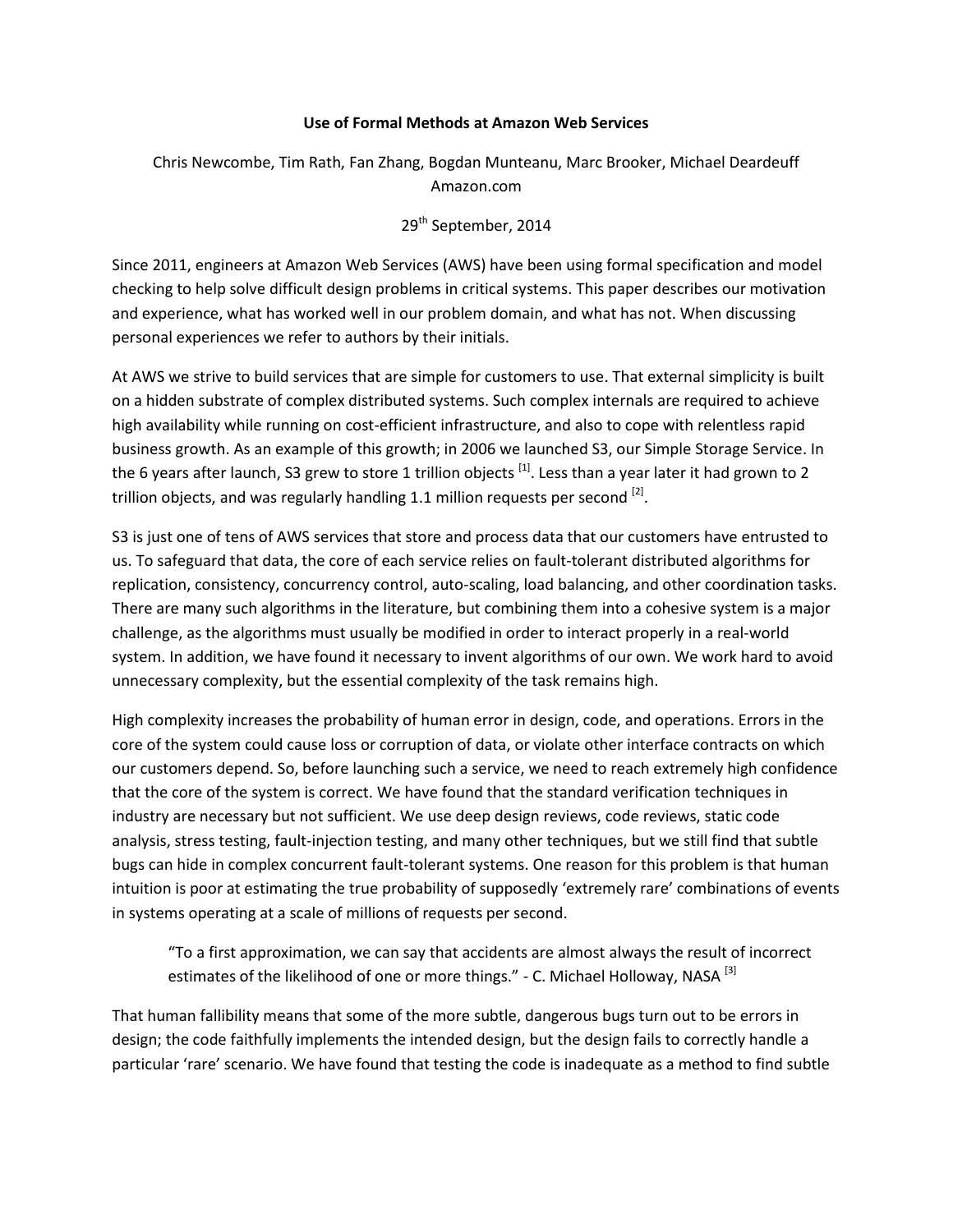#### **Use of Formal Methods at Amazon Web Services**

# Chris Newcombe, Tim Rath, Fan Zhang, Bogdan Munteanu, Marc Brooker, Michael Deardeuff Amazon.com

# 29<sup>th</sup> September, 2014

Since 2011, engineers at Amazon Web Services (AWS) have been using formal specification and model checking to help solve difficult design problems in critical systems. This paper describes our motivation and experience, what has worked well in our problem domain, and what has not. When discussing personal experiences we refer to authors by their initials.

At AWS we strive to build services that are simple for customers to use. That external simplicity is built on a hidden substrate of complex distributed systems. Such complex internals are required to achieve high availability while running on cost-efficient infrastructure, and also to cope with relentless rapid business growth. As an example of this growth; in 2006 we launched S3, our Simple Storage Service. In the 6 years after launch, S3 grew to store 1 trillion objects <sup>[1]</sup>. Less than a year later it had grown to 2 trillion objects, and was regularly handling 1.1 million requests per second  $^{[2]}$ .

S3 is just one of tens of AWS services that store and process data that our customers have entrusted to us. To safeguard that data, the core of each service relies on fault-tolerant distributed algorithms for replication, consistency, concurrency control, auto-scaling, load balancing, and other coordination tasks. There are many such algorithms in the literature, but combining them into a cohesive system is a major challenge, as the algorithms must usually be modified in order to interact properly in a real-world system. In addition, we have found it necessary to invent algorithms of our own. We work hard to avoid unnecessary complexity, but the essential complexity of the task remains high.

High complexity increases the probability of human error in design, code, and operations. Errors in the core of the system could cause loss or corruption of data, or violate other interface contracts on which our customers depend. So, before launching such a service, we need to reach extremely high confidence that the core of the system is correct. We have found that the standard verification techniques in industry are necessary but not sufficient. We use deep design reviews, code reviews, static code analysis, stress testing, fault-injection testing, and many other techniques, but we still find that subtle bugs can hide in complex concurrent fault-tolerant systems. One reason for this problem is that human intuition is poor at estimating the true probability of supposedly 'extremely rare' combinations of events in systems operating at a scale of millions of requests per second.

"To a first approximation, we can say that accidents are almost always the result of incorrect estimates of the likelihood of one or more things." - C. Michael Holloway, NASA<sup>[3]</sup>

That human fallibility means that some of the more subtle, dangerous bugs turn out to be errors in design; the code faithfully implements the intended design, but the design fails to correctly handle a particular 'rare' scenario. We have found that testing the code is inadequate as a method to find subtle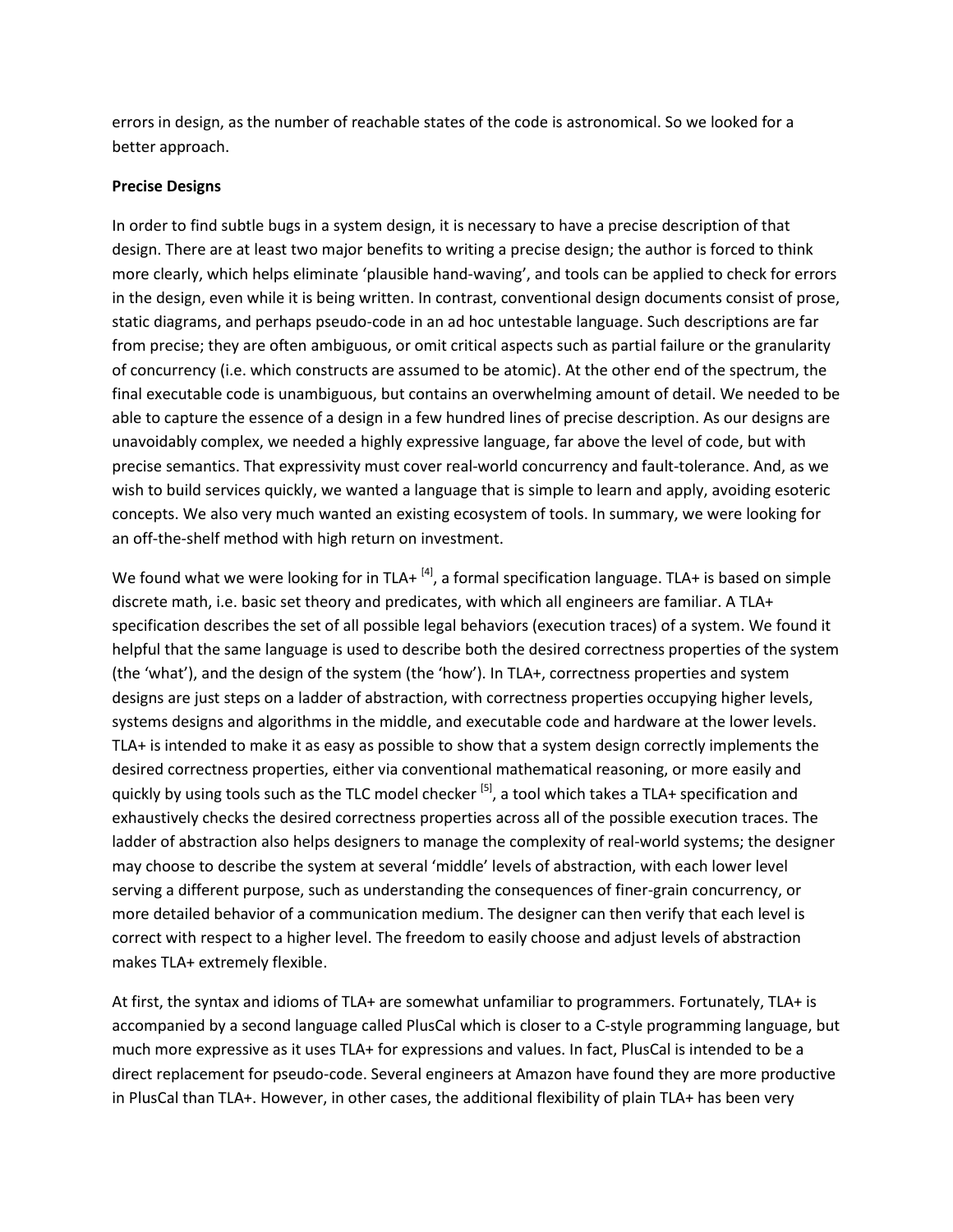errors in design, as the number of reachable states of the code is astronomical. So we looked for a better approach.

#### **Precise Designs**

In order to find subtle bugs in a system design, it is necessary to have a precise description of that design. There are at least two major benefits to writing a precise design; the author is forced to think more clearly, which helps eliminate 'plausible hand-waving', and tools can be applied to check for errors in the design, even while it is being written. In contrast, conventional design documents consist of prose, static diagrams, and perhaps pseudo-code in an ad hoc untestable language. Such descriptions are far from precise; they are often ambiguous, or omit critical aspects such as partial failure or the granularity of concurrency (i.e. which constructs are assumed to be atomic). At the other end of the spectrum, the final executable code is unambiguous, but contains an overwhelming amount of detail. We needed to be able to capture the essence of a design in a few hundred lines of precise description. As our designs are unavoidably complex, we needed a highly expressive language, far above the level of code, but with precise semantics. That expressivity must cover real-world concurrency and fault-tolerance. And, as we wish to build services quickly, we wanted a language that is simple to learn and apply, avoiding esoteric concepts. We also very much wanted an existing ecosystem of tools. In summary, we were looking for an off-the-shelf method with high return on investment.

We found what we were looking for in TLA+  $^{[4]}$ , a formal specification language. TLA+ is based on simple discrete math, i.e. basic set theory and predicates, with which all engineers are familiar. A TLA+ specification describes the set of all possible legal behaviors (execution traces) of a system. We found it helpful that the same language is used to describe both the desired correctness properties of the system (the 'what'), and the design of the system (the 'how'). In TLA+, correctness properties and system designs are just steps on a ladder of abstraction, with correctness properties occupying higher levels, systems designs and algorithms in the middle, and executable code and hardware at the lower levels. TLA+ is intended to make it as easy as possible to show that a system design correctly implements the desired correctness properties, either via conventional mathematical reasoning, or more easily and quickly by using tools such as the TLC model checker  $^{[5]}$ , a tool which takes a TLA+ specification and exhaustively checks the desired correctness properties across all of the possible execution traces. The ladder of abstraction also helps designers to manage the complexity of real-world systems; the designer may choose to describe the system at several 'middle' levels of abstraction, with each lower level serving a different purpose, such as understanding the consequences of finer-grain concurrency, or more detailed behavior of a communication medium. The designer can then verify that each level is correct with respect to a higher level. The freedom to easily choose and adjust levels of abstraction makes TLA+ extremely flexible.

At first, the syntax and idioms of TLA+ are somewhat unfamiliar to programmers. Fortunately, TLA+ is accompanied by a second language called PlusCal which is closer to a C-style programming language, but much more expressive as it uses TLA+ for expressions and values. In fact, PlusCal is intended to be a direct replacement for pseudo-code. Several engineers at Amazon have found they are more productive in PlusCal than TLA+. However, in other cases, the additional flexibility of plain TLA+ has been very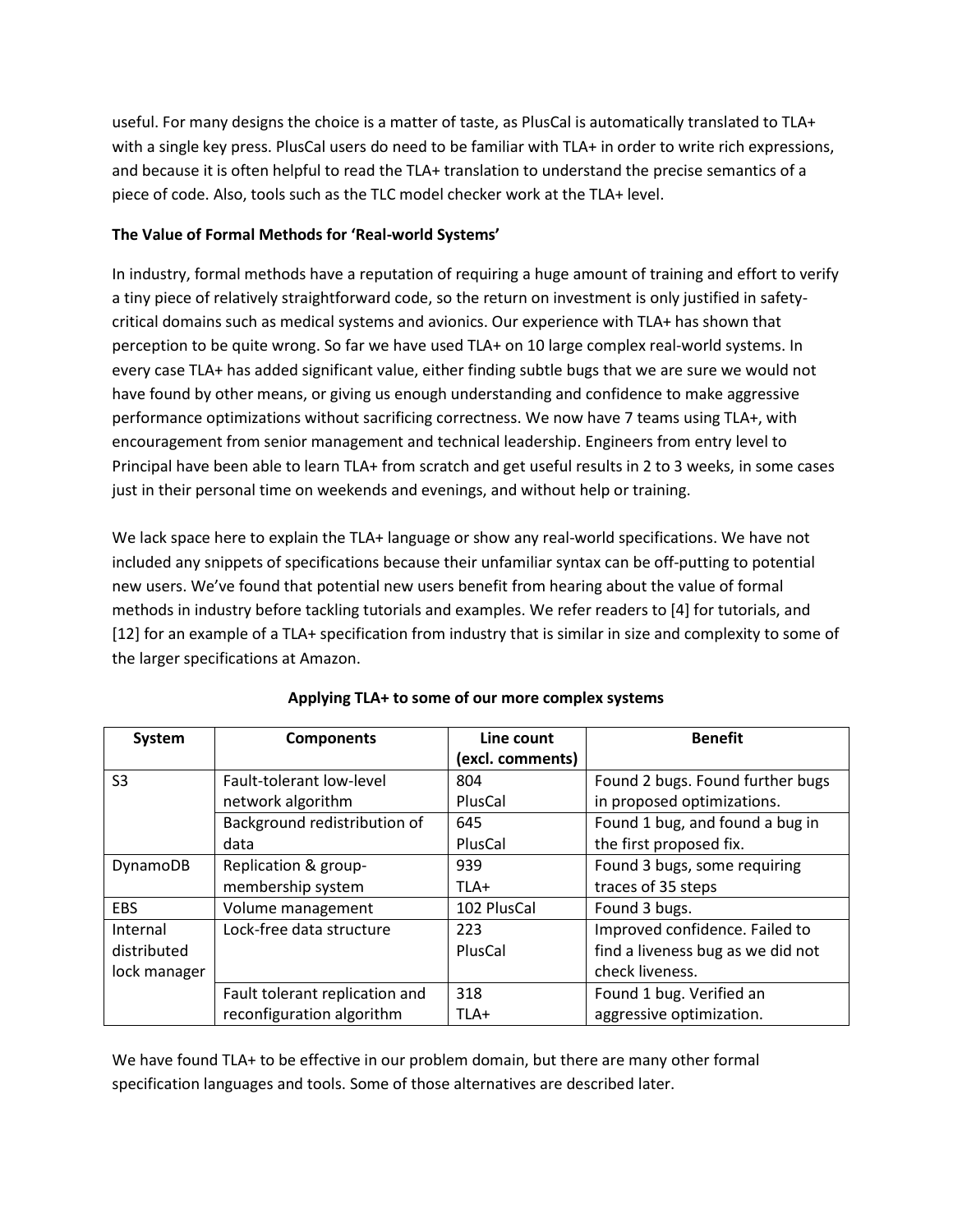useful. For many designs the choice is a matter of taste, as PlusCal is automatically translated to TLA+ with a single key press. PlusCal users do need to be familiar with TLA+ in order to write rich expressions, and because it is often helpful to read the TLA+ translation to understand the precise semantics of a piece of code. Also, tools such as the TLC model checker work at the TLA+ level.

## **The Value of Formal Methods for 'Real-world Systems'**

In industry, formal methods have a reputation of requiring a huge amount of training and effort to verify a tiny piece of relatively straightforward code, so the return on investment is only justified in safetycritical domains such as medical systems and avionics. Our experience with TLA+ has shown that perception to be quite wrong. So far we have used TLA+ on 10 large complex real-world systems. In every case TLA+ has added significant value, either finding subtle bugs that we are sure we would not have found by other means, or giving us enough understanding and confidence to make aggressive performance optimizations without sacrificing correctness. We now have 7 teams using TLA+, with encouragement from senior management and technical leadership. Engineers from entry level to Principal have been able to learn TLA+ from scratch and get useful results in 2 to 3 weeks, in some cases just in their personal time on weekends and evenings, and without help or training.

We lack space here to explain the TLA+ language or show any real-world specifications. We have not included any snippets of specifications because their unfamiliar syntax can be off-putting to potential new users. We've found that potential new users benefit from hearing about the value of formal methods in industry before tackling tutorials and examples. We refer readers to [4] for tutorials, and [12] for an example of a TLA+ specification from industry that is similar in size and complexity to some of the larger specifications at Amazon.

| <b>System</b>  | <b>Components</b>              | Line count       | <b>Benefit</b>                    |
|----------------|--------------------------------|------------------|-----------------------------------|
|                |                                | (excl. comments) |                                   |
| S <sub>3</sub> | Fault-tolerant low-level       | 804              | Found 2 bugs. Found further bugs  |
|                | network algorithm              | PlusCal          | in proposed optimizations.        |
|                | Background redistribution of   | 645              | Found 1 bug, and found a bug in   |
|                | data                           | PlusCal          | the first proposed fix.           |
| DynamoDB       | Replication & group-           | 939              | Found 3 bugs, some requiring      |
|                | membership system              | TLA+             | traces of 35 steps                |
| <b>EBS</b>     | Volume management              | 102 PlusCal      | Found 3 bugs.                     |
| Internal       | Lock-free data structure       | 223              | Improved confidence. Failed to    |
| distributed    |                                | PlusCal          | find a liveness bug as we did not |
| lock manager   |                                |                  | check liveness.                   |
|                | Fault tolerant replication and | 318              | Found 1 bug. Verified an          |
|                | reconfiguration algorithm      | TLA+             | aggressive optimization.          |

## **Applying TLA+ to some of our more complex systems**

We have found TLA+ to be effective in our problem domain, but there are many other formal specification languages and tools. Some of those alternatives are described later.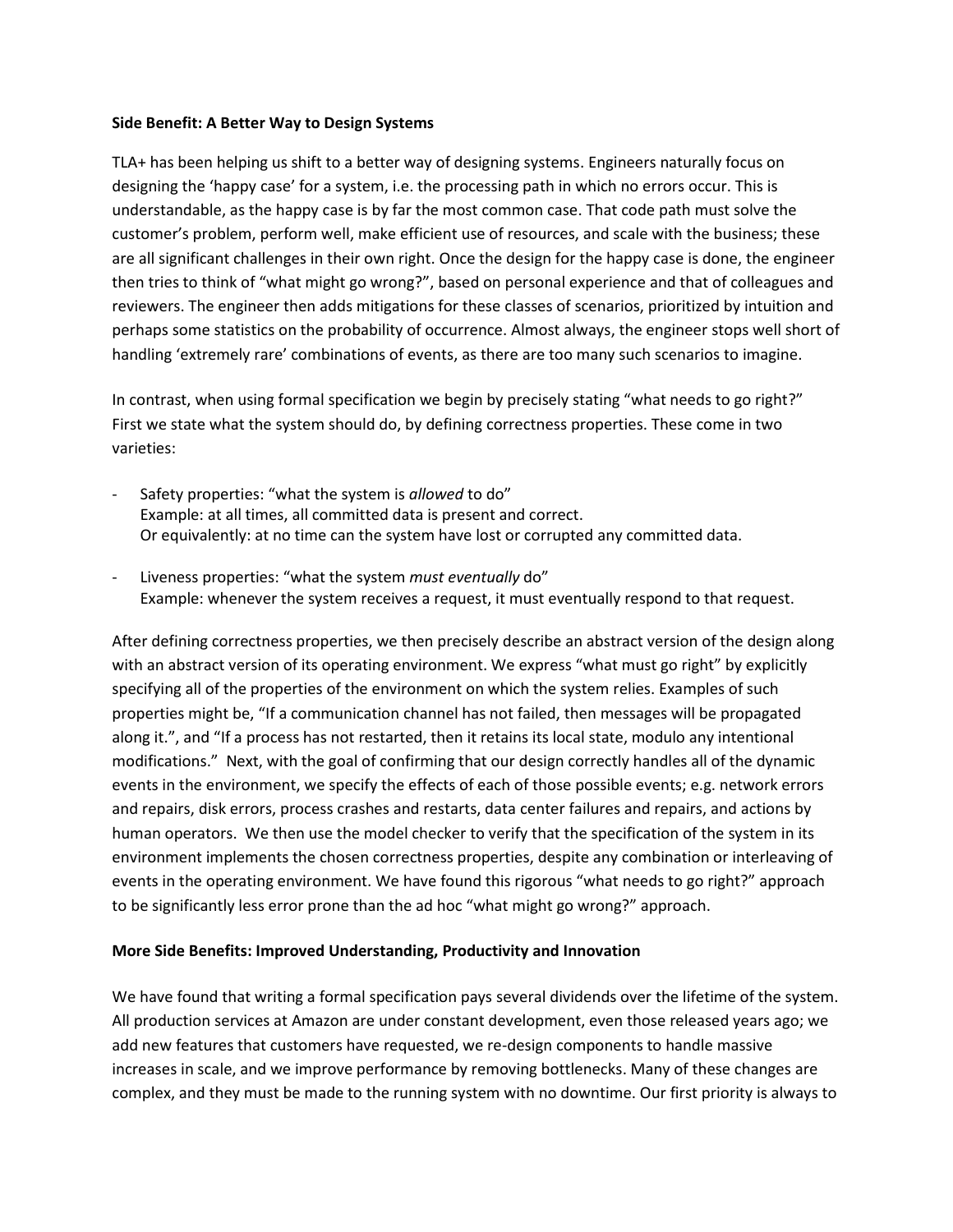#### **Side Benefit: A Better Way to Design Systems**

TLA+ has been helping us shift to a better way of designing systems. Engineers naturally focus on designing the 'happy case' for a system, i.e. the processing path in which no errors occur. This is understandable, as the happy case is by far the most common case. That code path must solve the customer's problem, perform well, make efficient use of resources, and scale with the business; these are all significant challenges in their own right. Once the design for the happy case is done, the engineer then tries to think of "what might go wrong?", based on personal experience and that of colleagues and reviewers. The engineer then adds mitigations for these classes of scenarios, prioritized by intuition and perhaps some statistics on the probability of occurrence. Almost always, the engineer stops well short of handling 'extremely rare' combinations of events, as there are too many such scenarios to imagine.

In contrast, when using formal specification we begin by precisely stating "what needs to go right?" First we state what the system should do, by defining correctness properties. These come in two varieties:

- Safety properties: "what the system is *allowed* to do" Example: at all times, all committed data is present and correct. Or equivalently: at no time can the system have lost or corrupted any committed data.
- Liveness properties: "what the system *must eventually* do" Example: whenever the system receives a request, it must eventually respond to that request.

After defining correctness properties, we then precisely describe an abstract version of the design along with an abstract version of its operating environment. We express "what must go right" by explicitly specifying all of the properties of the environment on which the system relies. Examples of such properties might be, "If a communication channel has not failed, then messages will be propagated along it.", and "If a process has not restarted, then it retains its local state, modulo any intentional modifications." Next, with the goal of confirming that our design correctly handles all of the dynamic events in the environment, we specify the effects of each of those possible events; e.g. network errors and repairs, disk errors, process crashes and restarts, data center failures and repairs, and actions by human operators. We then use the model checker to verify that the specification of the system in its environment implements the chosen correctness properties, despite any combination or interleaving of events in the operating environment. We have found this rigorous "what needs to go right?" approach to be significantly less error prone than the ad hoc "what might go wrong?" approach.

### **More Side Benefits: Improved Understanding, Productivity and Innovation**

We have found that writing a formal specification pays several dividends over the lifetime of the system. All production services at Amazon are under constant development, even those released years ago; we add new features that customers have requested, we re-design components to handle massive increases in scale, and we improve performance by removing bottlenecks. Many of these changes are complex, and they must be made to the running system with no downtime. Our first priority is always to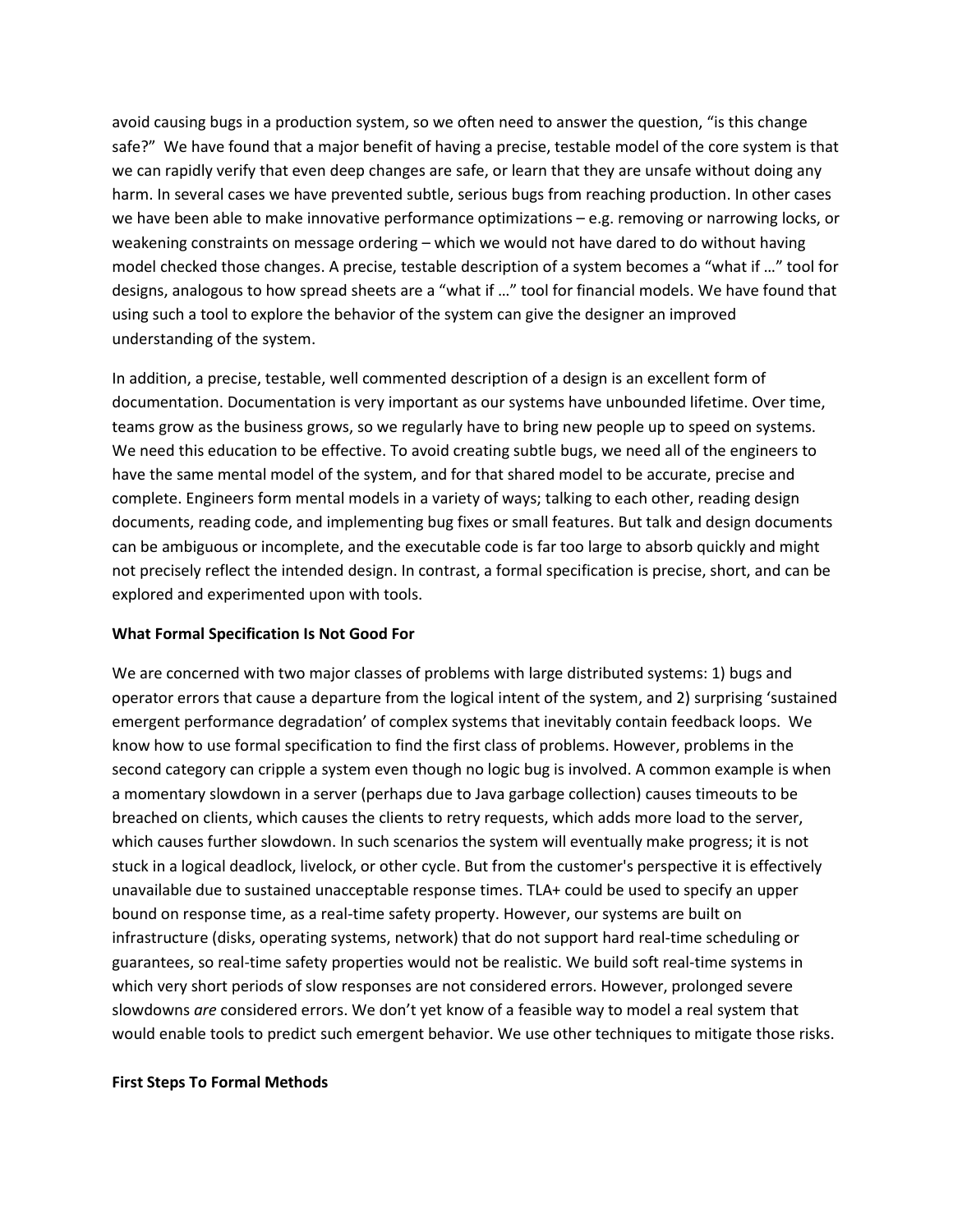avoid causing bugs in a production system, so we often need to answer the question, "is this change safe?" We have found that a major benefit of having a precise, testable model of the core system is that we can rapidly verify that even deep changes are safe, or learn that they are unsafe without doing any harm. In several cases we have prevented subtle, serious bugs from reaching production. In other cases we have been able to make innovative performance optimizations – e.g. removing or narrowing locks, or weakening constraints on message ordering – which we would not have dared to do without having model checked those changes. A precise, testable description of a system becomes a "what if …" tool for designs, analogous to how spread sheets are a "what if …" tool for financial models. We have found that using such a tool to explore the behavior of the system can give the designer an improved understanding of the system.

In addition, a precise, testable, well commented description of a design is an excellent form of documentation. Documentation is very important as our systems have unbounded lifetime. Over time, teams grow as the business grows, so we regularly have to bring new people up to speed on systems. We need this education to be effective. To avoid creating subtle bugs, we need all of the engineers to have the same mental model of the system, and for that shared model to be accurate, precise and complete. Engineers form mental models in a variety of ways; talking to each other, reading design documents, reading code, and implementing bug fixes or small features. But talk and design documents can be ambiguous or incomplete, and the executable code is far too large to absorb quickly and might not precisely reflect the intended design. In contrast, a formal specification is precise, short, and can be explored and experimented upon with tools.

### **What Formal Specification Is Not Good For**

We are concerned with two major classes of problems with large distributed systems: 1) bugs and operator errors that cause a departure from the logical intent of the system, and 2) surprising 'sustained emergent performance degradation' of complex systems that inevitably contain feedback loops. We know how to use formal specification to find the first class of problems. However, problems in the second category can cripple a system even though no logic bug is involved. A common example is when a momentary slowdown in a server (perhaps due to Java garbage collection) causes timeouts to be breached on clients, which causes the clients to retry requests, which adds more load to the server, which causes further slowdown. In such scenarios the system will eventually make progress; it is not stuck in a logical deadlock, livelock, or other cycle. But from the customer's perspective it is effectively unavailable due to sustained unacceptable response times. TLA+ could be used to specify an upper bound on response time, as a real-time safety property. However, our systems are built on infrastructure (disks, operating systems, network) that do not support hard real-time scheduling or guarantees, so real-time safety properties would not be realistic. We build soft real-time systems in which very short periods of slow responses are not considered errors. However, prolonged severe slowdowns *are* considered errors. We don't yet know of a feasible way to model a real system that would enable tools to predict such emergent behavior. We use other techniques to mitigate those risks.

### **First Steps To Formal Methods**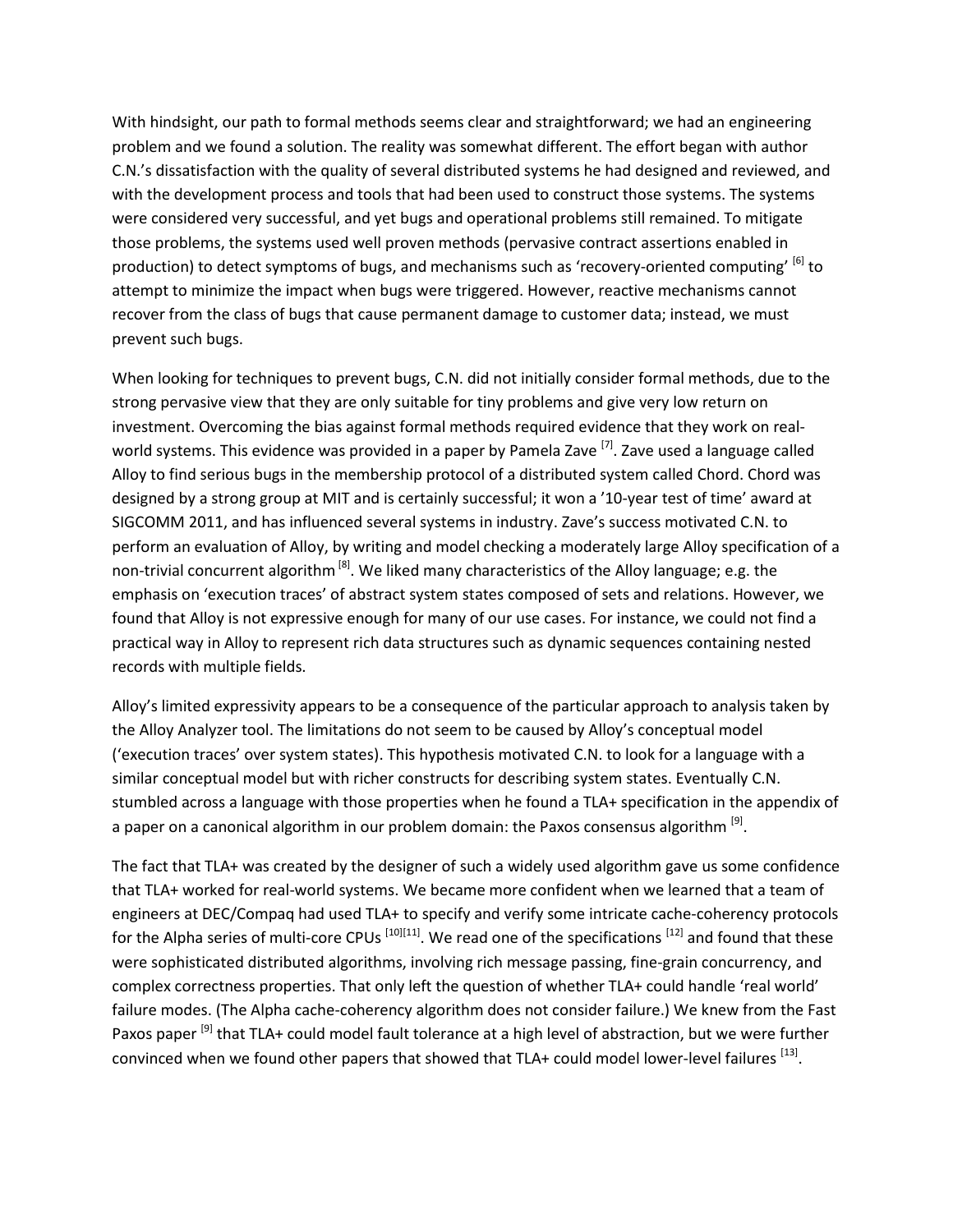With hindsight, our path to formal methods seems clear and straightforward; we had an engineering problem and we found a solution. The reality was somewhat different. The effort began with author C.N.'s dissatisfaction with the quality of several distributed systems he had designed and reviewed, and with the development process and tools that had been used to construct those systems. The systems were considered very successful, and yet bugs and operational problems still remained. To mitigate those problems, the systems used well proven methods (pervasive contract assertions enabled in production) to detect symptoms of bugs, and mechanisms such as 'recovery-oriented computing' <sup>[6]</sup> to attempt to minimize the impact when bugs were triggered. However, reactive mechanisms cannot recover from the class of bugs that cause permanent damage to customer data; instead, we must prevent such bugs.

When looking for techniques to prevent bugs, C.N. did not initially consider formal methods, due to the strong pervasive view that they are only suitable for tiny problems and give very low return on investment. Overcoming the bias against formal methods required evidence that they work on realworld systems. This evidence was provided in a paper by Pamela Zave <sup>[7]</sup>. Zave used a language called Alloy to find serious bugs in the membership protocol of a distributed system called Chord. Chord was designed by a strong group at MIT and is certainly successful; it won a '10-year test of time' award at SIGCOMM 2011, and has influenced several systems in industry. Zave's success motivated C.N. to perform an evaluation of Alloy, by writing and model checking a moderately large Alloy specification of a non-trivial concurrent algorithm <sup>[8]</sup>. We liked many characteristics of the Alloy language; e.g. the emphasis on 'execution traces' of abstract system states composed of sets and relations. However, we found that Alloy is not expressive enough for many of our use cases. For instance, we could not find a practical way in Alloy to represent rich data structures such as dynamic sequences containing nested records with multiple fields.

Alloy's limited expressivity appears to be a consequence of the particular approach to analysis taken by the Alloy Analyzer tool. The limitations do not seem to be caused by Alloy's conceptual model ('execution traces' over system states). This hypothesis motivated C.N. to look for a language with a similar conceptual model but with richer constructs for describing system states. Eventually C.N. stumbled across a language with those properties when he found a TLA+ specification in the appendix of a paper on a canonical algorithm in our problem domain: the Paxos consensus algorithm  $^{[9]}$ .

The fact that TLA+ was created by the designer of such a widely used algorithm gave us some confidence that TLA+ worked for real-world systems. We became more confident when we learned that a team of engineers at DEC/Compaq had used TLA+ to specify and verify some intricate cache-coherency protocols for the Alpha series of multi-core CPUs <sup>[10][11]</sup>. We read one of the specifications <sup>[12]</sup> and found that these were sophisticated distributed algorithms, involving rich message passing, fine-grain concurrency, and complex correctness properties. That only left the question of whether TLA+ could handle 'real world' failure modes. (The Alpha cache-coherency algorithm does not consider failure.) We knew from the Fast Paxos paper <sup>[9]</sup> that TLA+ could model fault tolerance at a high level of abstraction, but we were further convinced when we found other papers that showed that TLA+ could model lower-level failures <sup>[13]</sup>.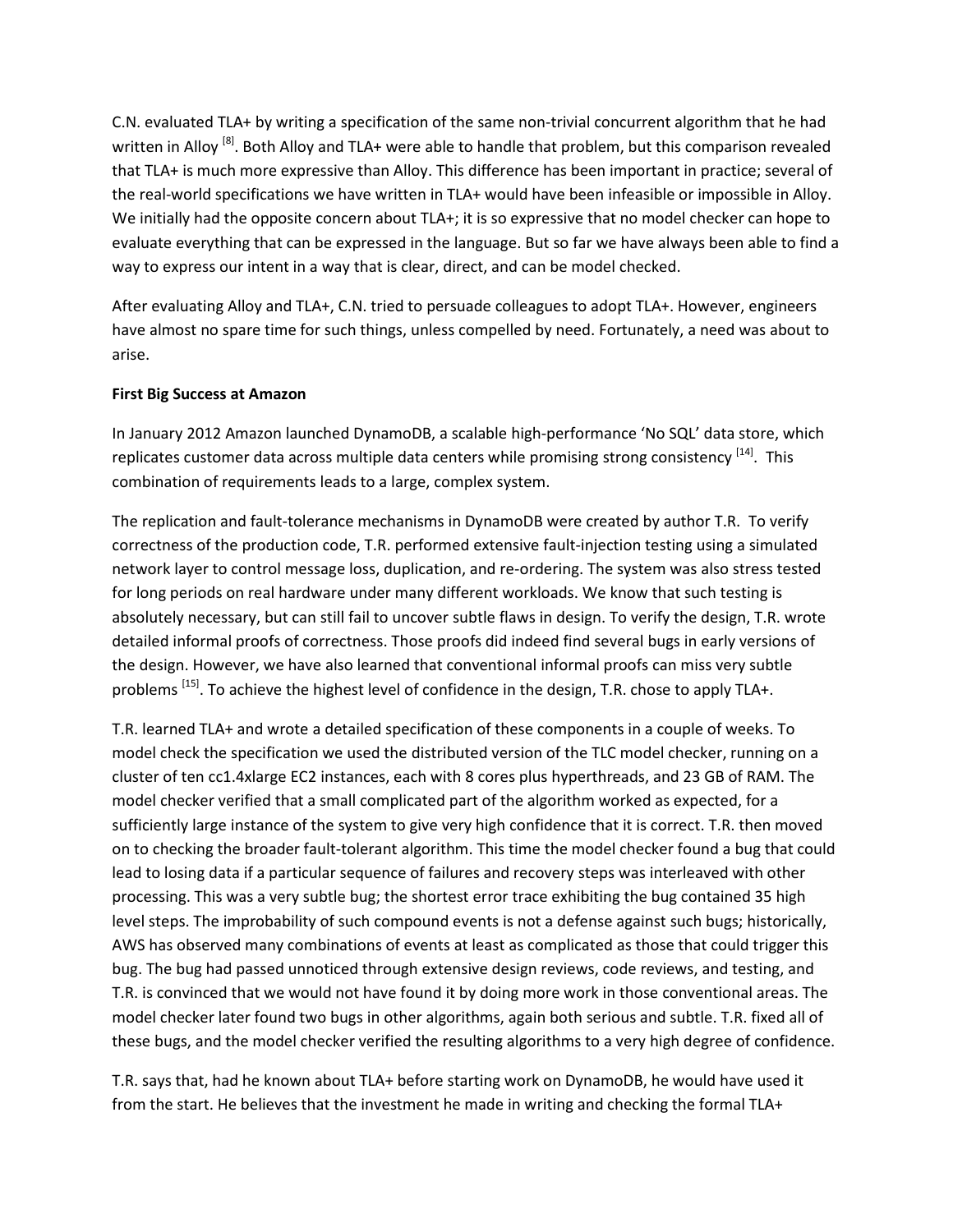C.N. evaluated TLA+ by writing a specification of the same non-trivial concurrent algorithm that he had written in Alloy <sup>[8]</sup>. Both Alloy and TLA+ were able to handle that problem, but this comparison revealed that TLA+ is much more expressive than Alloy. This difference has been important in practice; several of the real-world specifications we have written in TLA+ would have been infeasible or impossible in Alloy. We initially had the opposite concern about TLA+; it is so expressive that no model checker can hope to evaluate everything that can be expressed in the language. But so far we have always been able to find a way to express our intent in a way that is clear, direct, and can be model checked.

After evaluating Alloy and TLA+, C.N. tried to persuade colleagues to adopt TLA+. However, engineers have almost no spare time for such things, unless compelled by need. Fortunately, a need was about to arise.

### **First Big Success at Amazon**

In January 2012 Amazon launched DynamoDB, a scalable high-performance 'No SQL' data store, which replicates customer data across multiple data centers while promising strong consistency <sup>[14]</sup>. This combination of requirements leads to a large, complex system.

The replication and fault-tolerance mechanisms in DynamoDB were created by author T.R. To verify correctness of the production code, T.R. performed extensive fault-injection testing using a simulated network layer to control message loss, duplication, and re-ordering. The system was also stress tested for long periods on real hardware under many different workloads. We know that such testing is absolutely necessary, but can still fail to uncover subtle flaws in design. To verify the design, T.R. wrote detailed informal proofs of correctness. Those proofs did indeed find several bugs in early versions of the design. However, we have also learned that conventional informal proofs can miss very subtle problems <sup>[15]</sup>. To achieve the highest level of confidence in the design, T.R. chose to apply TLA+.

T.R. learned TLA+ and wrote a detailed specification of these components in a couple of weeks. To model check the specification we used the distributed version of the TLC model checker, running on a cluster of ten cc1.4xlarge EC2 instances, each with 8 cores plus hyperthreads, and 23 GB of RAM. The model checker verified that a small complicated part of the algorithm worked as expected, for a sufficiently large instance of the system to give very high confidence that it is correct. T.R. then moved on to checking the broader fault-tolerant algorithm. This time the model checker found a bug that could lead to losing data if a particular sequence of failures and recovery steps was interleaved with other processing. This was a very subtle bug; the shortest error trace exhibiting the bug contained 35 high level steps. The improbability of such compound events is not a defense against such bugs; historically, AWS has observed many combinations of events at least as complicated as those that could trigger this bug. The bug had passed unnoticed through extensive design reviews, code reviews, and testing, and T.R. is convinced that we would not have found it by doing more work in those conventional areas. The model checker later found two bugs in other algorithms, again both serious and subtle. T.R. fixed all of these bugs, and the model checker verified the resulting algorithms to a very high degree of confidence.

T.R. says that, had he known about TLA+ before starting work on DynamoDB, he would have used it from the start. He believes that the investment he made in writing and checking the formal TLA+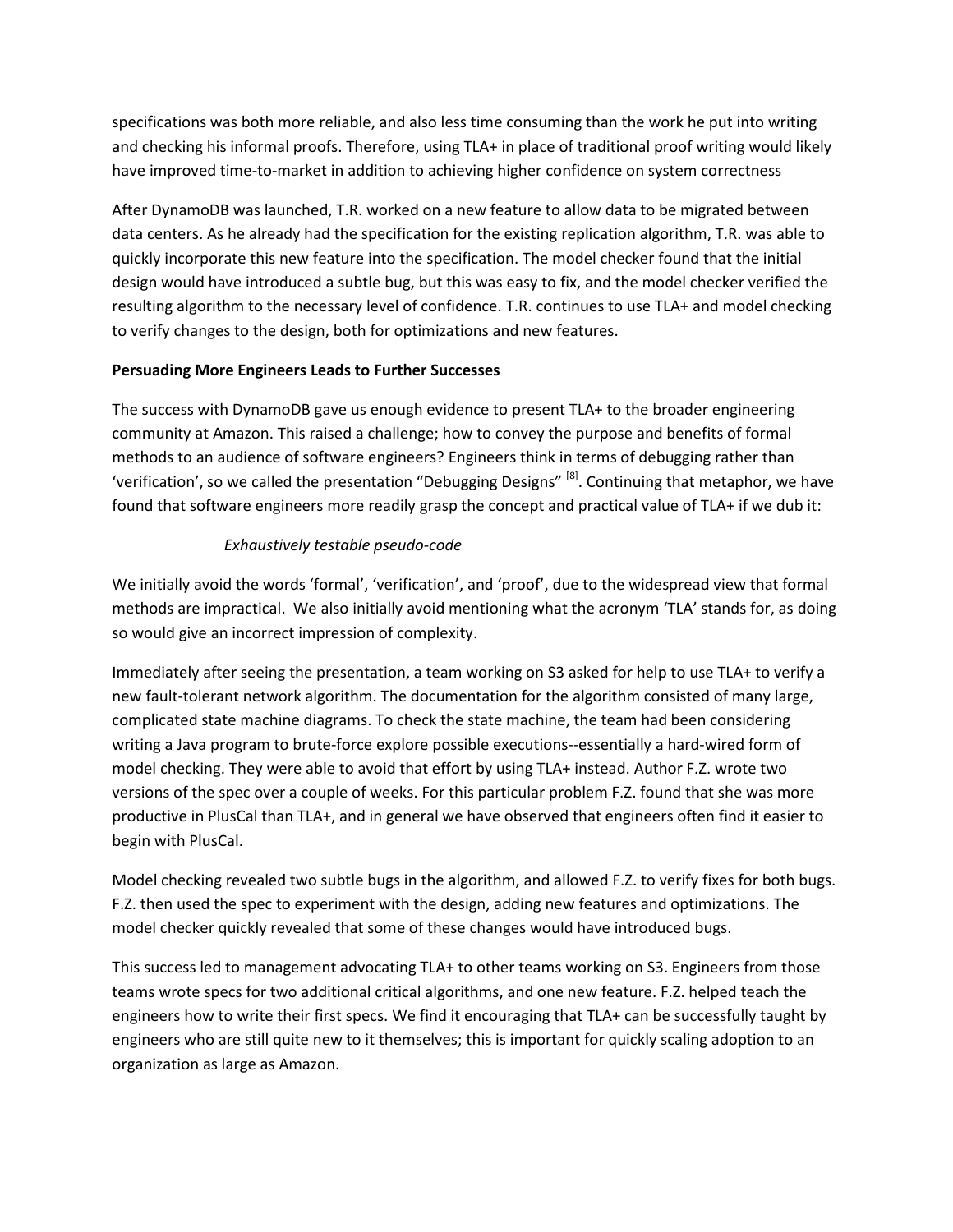specifications was both more reliable, and also less time consuming than the work he put into writing and checking his informal proofs. Therefore, using TLA+ in place of traditional proof writing would likely have improved time-to-market in addition to achieving higher confidence on system correctness

After DynamoDB was launched, T.R. worked on a new feature to allow data to be migrated between data centers. As he already had the specification for the existing replication algorithm, T.R. was able to quickly incorporate this new feature into the specification. The model checker found that the initial design would have introduced a subtle bug, but this was easy to fix, and the model checker verified the resulting algorithm to the necessary level of confidence. T.R. continues to use TLA+ and model checking to verify changes to the design, both for optimizations and new features.

### **Persuading More Engineers Leads to Further Successes**

The success with DynamoDB gave us enough evidence to present TLA+ to the broader engineering community at Amazon. This raised a challenge; how to convey the purpose and benefits of formal methods to an audience of software engineers? Engineers think in terms of debugging rather than 'verification', so we called the presentation "Debugging Designs" <sup>[8]</sup>. Continuing that metaphor, we have found that software engineers more readily grasp the concept and practical value of TLA+ if we dub it:

### *Exhaustively testable pseudo-code*

We initially avoid the words 'formal', 'verification', and 'proof', due to the widespread view that formal methods are impractical. We also initially avoid mentioning what the acronym 'TLA' stands for, as doing so would give an incorrect impression of complexity.

Immediately after seeing the presentation, a team working on S3 asked for help to use TLA+ to verify a new fault-tolerant network algorithm. The documentation for the algorithm consisted of many large, complicated state machine diagrams. To check the state machine, the team had been considering writing a Java program to brute-force explore possible executions--essentially a hard-wired form of model checking. They were able to avoid that effort by using TLA+ instead. Author F.Z. wrote two versions of the spec over a couple of weeks. For this particular problem F.Z. found that she was more productive in PlusCal than TLA+, and in general we have observed that engineers often find it easier to begin with PlusCal.

Model checking revealed two subtle bugs in the algorithm, and allowed F.Z. to verify fixes for both bugs. F.Z. then used the spec to experiment with the design, adding new features and optimizations. The model checker quickly revealed that some of these changes would have introduced bugs.

This success led to management advocating TLA+ to other teams working on S3. Engineers from those teams wrote specs for two additional critical algorithms, and one new feature. F.Z. helped teach the engineers how to write their first specs. We find it encouraging that TLA+ can be successfully taught by engineers who are still quite new to it themselves; this is important for quickly scaling adoption to an organization as large as Amazon.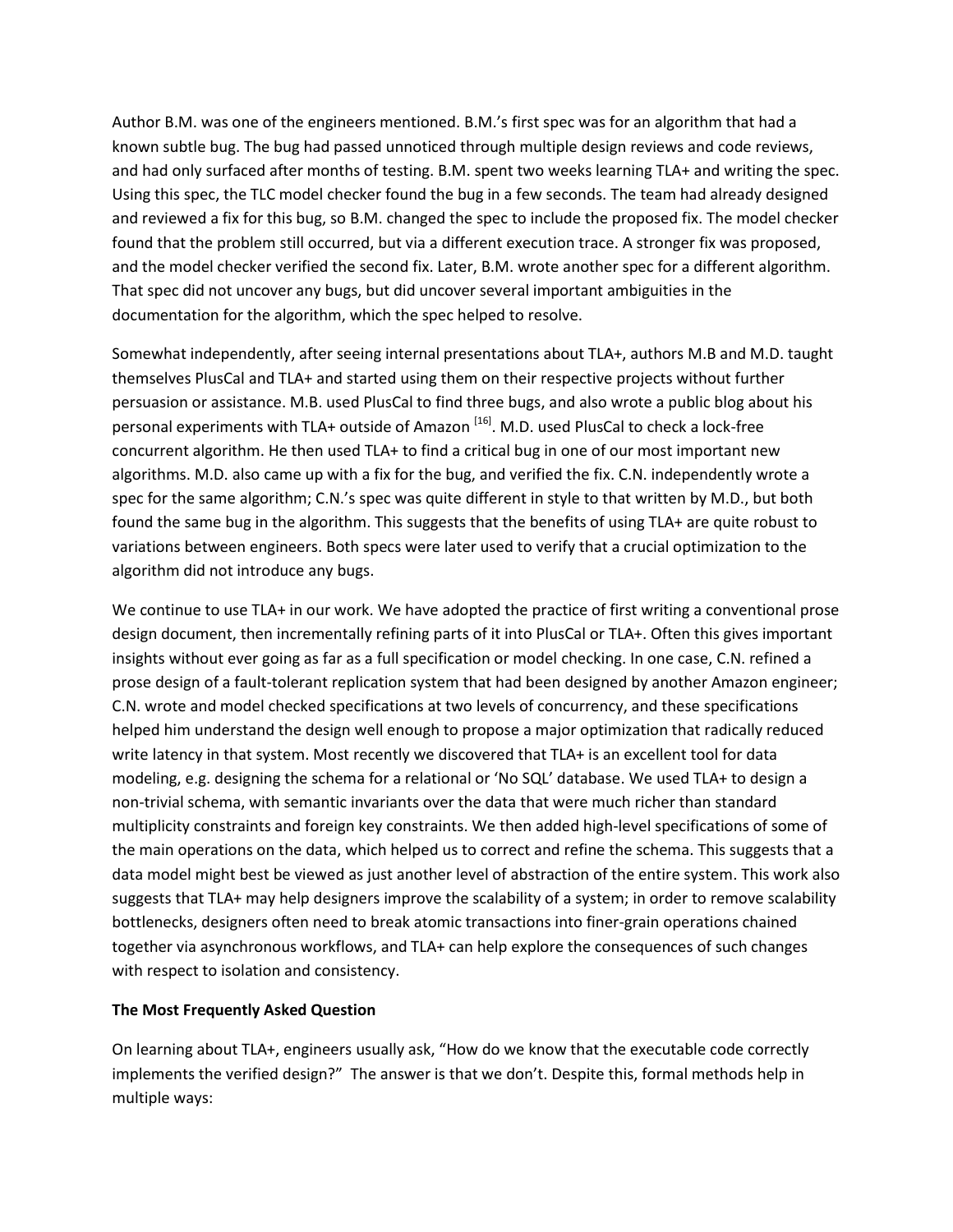Author B.M. was one of the engineers mentioned. B.M.'s first spec was for an algorithm that had a known subtle bug. The bug had passed unnoticed through multiple design reviews and code reviews, and had only surfaced after months of testing. B.M. spent two weeks learning TLA+ and writing the spec. Using this spec, the TLC model checker found the bug in a few seconds. The team had already designed and reviewed a fix for this bug, so B.M. changed the spec to include the proposed fix. The model checker found that the problem still occurred, but via a different execution trace. A stronger fix was proposed, and the model checker verified the second fix. Later, B.M. wrote another spec for a different algorithm. That spec did not uncover any bugs, but did uncover several important ambiguities in the documentation for the algorithm, which the spec helped to resolve.

Somewhat independently, after seeing internal presentations about TLA+, authors M.B and M.D. taught themselves PlusCal and TLA+ and started using them on their respective projects without further persuasion or assistance. M.B. used PlusCal to find three bugs, and also wrote a public blog about his personal experiments with TLA+ outside of Amazon <sup>[16]</sup>. M.D. used PlusCal to check a lock-free concurrent algorithm. He then used TLA+ to find a critical bug in one of our most important new algorithms. M.D. also came up with a fix for the bug, and verified the fix. C.N. independently wrote a spec for the same algorithm; C.N.'s spec was quite different in style to that written by M.D., but both found the same bug in the algorithm. This suggests that the benefits of using TLA+ are quite robust to variations between engineers. Both specs were later used to verify that a crucial optimization to the algorithm did not introduce any bugs.

We continue to use TLA+ in our work. We have adopted the practice of first writing a conventional prose design document, then incrementally refining parts of it into PlusCal or TLA+. Often this gives important insights without ever going as far as a full specification or model checking. In one case, C.N. refined a prose design of a fault-tolerant replication system that had been designed by another Amazon engineer; C.N. wrote and model checked specifications at two levels of concurrency, and these specifications helped him understand the design well enough to propose a major optimization that radically reduced write latency in that system. Most recently we discovered that TLA+ is an excellent tool for data modeling, e.g. designing the schema for a relational or 'No SQL' database. We used TLA+ to design a non-trivial schema, with semantic invariants over the data that were much richer than standard multiplicity constraints and foreign key constraints. We then added high-level specifications of some of the main operations on the data, which helped us to correct and refine the schema. This suggests that a data model might best be viewed as just another level of abstraction of the entire system. This work also suggests that TLA+ may help designers improve the scalability of a system; in order to remove scalability bottlenecks, designers often need to break atomic transactions into finer-grain operations chained together via asynchronous workflows, and TLA+ can help explore the consequences of such changes with respect to isolation and consistency.

### **The Most Frequently Asked Question**

On learning about TLA+, engineers usually ask, "How do we know that the executable code correctly implements the verified design?" The answer is that we don't. Despite this, formal methods help in multiple ways: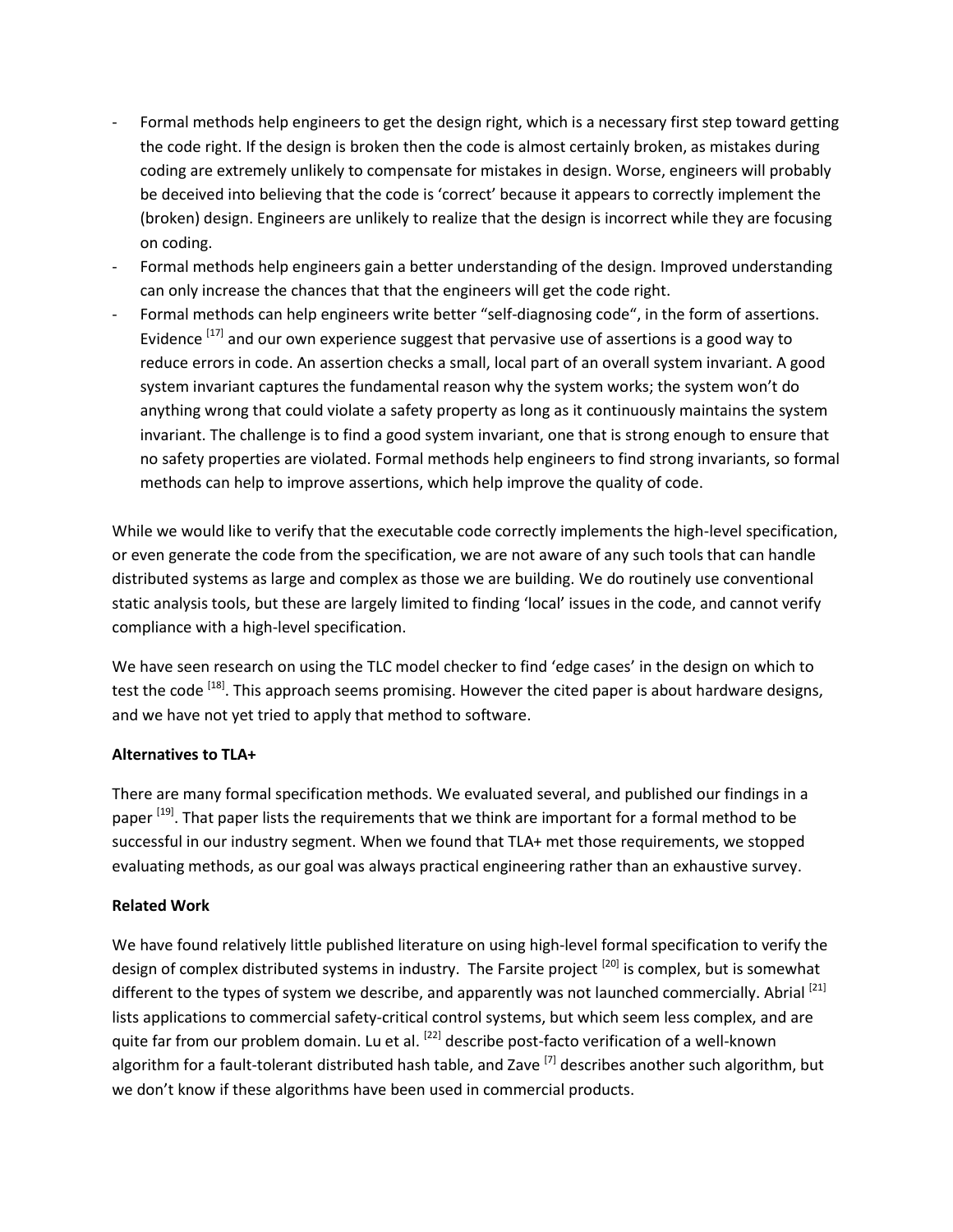- Formal methods help engineers to get the design right, which is a necessary first step toward getting the code right. If the design is broken then the code is almost certainly broken, as mistakes during coding are extremely unlikely to compensate for mistakes in design. Worse, engineers will probably be deceived into believing that the code is 'correct' because it appears to correctly implement the (broken) design. Engineers are unlikely to realize that the design is incorrect while they are focusing on coding.
- Formal methods help engineers gain a better understanding of the design. Improved understanding can only increase the chances that that the engineers will get the code right.
- Formal methods can help engineers write better "self-diagnosing code", in the form of assertions. Evidence <sup>[17]</sup> and our own experience suggest that pervasive use of assertions is a good way to reduce errors in code. An assertion checks a small, local part of an overall system invariant. A good system invariant captures the fundamental reason why the system works; the system won't do anything wrong that could violate a safety property as long as it continuously maintains the system invariant. The challenge is to find a good system invariant, one that is strong enough to ensure that no safety properties are violated. Formal methods help engineers to find strong invariants, so formal methods can help to improve assertions, which help improve the quality of code.

While we would like to verify that the executable code correctly implements the high-level specification, or even generate the code from the specification, we are not aware of any such tools that can handle distributed systems as large and complex as those we are building. We do routinely use conventional static analysis tools, but these are largely limited to finding 'local' issues in the code, and cannot verify compliance with a high-level specification.

We have seen research on using the TLC model checker to find 'edge cases' in the design on which to test the code <sup>[18]</sup>. This approach seems promising. However the cited paper is about hardware designs, and we have not yet tried to apply that method to software.

### **Alternatives to TLA+**

There are many formal specification methods. We evaluated several, and published our findings in a paper <sup>[19]</sup>. That paper lists the requirements that we think are important for a formal method to be successful in our industry segment. When we found that TLA+ met those requirements, we stopped evaluating methods, as our goal was always practical engineering rather than an exhaustive survey.

### **Related Work**

We have found relatively little published literature on using high-level formal specification to verify the design of complex distributed systems in industry. The Farsite project <sup>[20]</sup> is complex, but is somewhat different to the types of system we describe, and apparently was not launched commercially. Abrial [21] lists applications to commercial safety-critical control systems, but which seem less complex, and are quite far from our problem domain. Lu et al. <sup>[22]</sup> describe post-facto verification of a well-known algorithm for a fault-tolerant distributed hash table, and Zave <sup>[7]</sup> describes another such algorithm, but we don't know if these algorithms have been used in commercial products.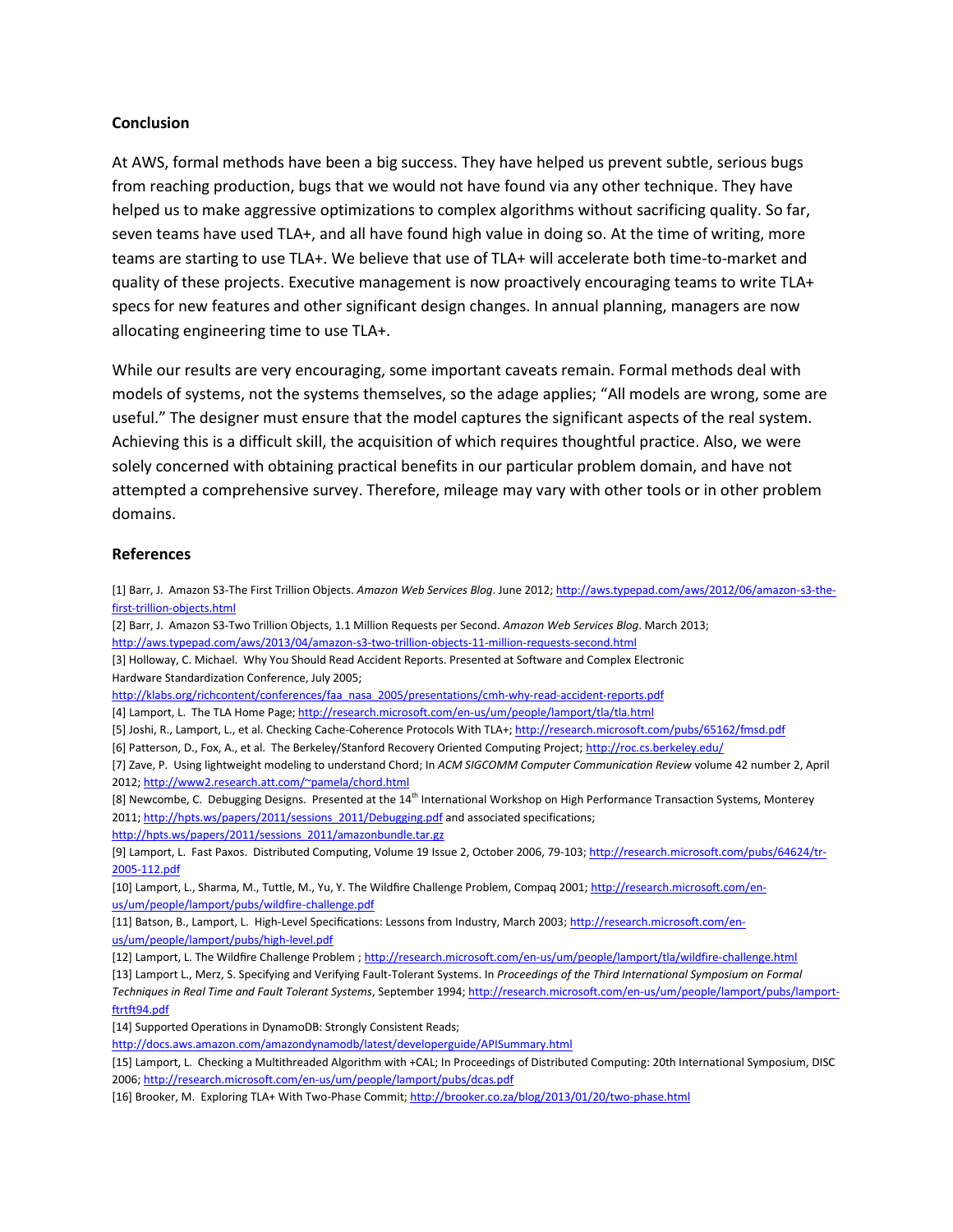#### **Conclusion**

At AWS, formal methods have been a big success. They have helped us prevent subtle, serious bugs from reaching production, bugs that we would not have found via any other technique. They have helped us to make aggressive optimizations to complex algorithms without sacrificing quality. So far, seven teams have used TLA+, and all have found high value in doing so. At the time of writing, more teams are starting to use TLA+. We believe that use of TLA+ will accelerate both time-to-market and quality of these projects. Executive management is now proactively encouraging teams to write TLA+ specs for new features and other significant design changes. In annual planning, managers are now allocating engineering time to use TLA+.

While our results are very encouraging, some important caveats remain. Formal methods deal with models of systems, not the systems themselves, so the adage applies; "All models are wrong, some are useful." The designer must ensure that the model captures the significant aspects of the real system. Achieving this is a difficult skill, the acquisition of which requires thoughtful practice. Also, we were solely concerned with obtaining practical benefits in our particular problem domain, and have not attempted a comprehensive survey. Therefore, mileage may vary with other tools or in other problem domains.

#### **References**

[1] Barr, J. Amazon S3-The First Trillion Objects. *Amazon Web Services Blog*. June 2012; [http://aws.typepad.com/aws/2012/06/amazon-s3-the](http://aws.typepad.com/aws/2012/06/amazon-s3-the-first-trillion-objects.html)[first-trillion-objects.html](http://aws.typepad.com/aws/2012/06/amazon-s3-the-first-trillion-objects.html) [2] Barr, J. Amazon S3-Two Trillion Objects, 1.1 Million Requests per Second. *Amazon Web Services Blog*. March 2013; <http://aws.typepad.com/aws/2013/04/amazon-s3-two-trillion-objects-11-million-requests-second.html> [3] Holloway, C. Michael. Why You Should Read Accident Reports. Presented at Software and Complex Electronic Hardware Standardization Conference, July 2005; [http://klabs.org/richcontent/conferences/faa\\_nasa\\_2005/presentations/cmh-why-read-accident-reports.pdf](http://klabs.org/richcontent/conferences/faa_nasa_2005/presentations/cmh-why-read-accident-reports.pdf) [4] Lamport, L. The TLA Home Page[; http://research.microsoft.com/en-us/um/people/lamport/tla/tla.html](http://research.microsoft.com/en-us/um/people/lamport/tla/tla.html) [5] Joshi, R., Lamport, L., et al. Checking Cache-Coherence Protocols With TLA+[; http://research.microsoft.com/pubs/65162/fmsd.pdf](http://research.microsoft.com/pubs/65162/fmsd.pdf) [6] Patterson, D., Fox, A., et al. The Berkeley/Stanford Recovery Oriented Computing Project[; http://roc.cs.berkeley.edu/](http://roc.cs.berkeley.edu/) [7] Zave, P. Using lightweight modeling to understand Chord; In *ACM SIGCOMM Computer Communication Review* volume 42 number 2, April 2012[; http://www2.research.att.com/~pamela/chord.html](http://www2.research.att.com/~pamela/chord.html) [8] Newcombe, C. Debugging Designs. Presented at the 14<sup>th</sup> International Workshop on High Performance Transaction Systems, Monterey 2011[; http://hpts.ws/papers/2011/sessions\\_2011/Debugging.pdf](http://hpts.ws/papers/2011/sessions_2011/Debugging.pdf) and associated specifications; [http://hpts.ws/papers/2011/sessions\\_2011/amazonbundle.tar.gz](http://hpts.ws/papers/2011/sessions_2011/amazonbundle.tar.gz) [9] Lamport, L. Fast Paxos. Distributed Computing, Volume 19 Issue 2, October 2006, 79-103; [http://research.microsoft.com/pubs/64624/tr-](http://research.microsoft.com/pubs/64624/tr-2005-112.pdf)[2005-112.pdf](http://research.microsoft.com/pubs/64624/tr-2005-112.pdf) [10] Lamport, L., Sharma, M., Tuttle, M., Yu, Y. The Wildfire Challenge Problem, Compaq 2001; [http://research.microsoft.com/en](http://research.microsoft.com/en-us/um/people/lamport/pubs/wildfire-challenge.pdf)[us/um/people/lamport/pubs/wildfire-challenge.pdf](http://research.microsoft.com/en-us/um/people/lamport/pubs/wildfire-challenge.pdf) [11] Batson, B., Lamport, L. High-Level Specifications: Lessons from Industry, March 2003; [http://research.microsoft.com/en](http://research.microsoft.com/en-us/um/people/lamport/pubs/high-level.pdf)[us/um/people/lamport/pubs/high-level.pdf](http://research.microsoft.com/en-us/um/people/lamport/pubs/high-level.pdf) [12] Lamport, L. The Wildfire Challenge Problem ; <http://research.microsoft.com/en-us/um/people/lamport/tla/wildfire-challenge.html> [13] Lamport L., Merz, S. Specifying and Verifying Fault-Tolerant Systems. In *Proceedings of the Third International Symposium on Formal Techniques in Real Time and Fault Tolerant Systems*, September 1994[; http://research.microsoft.com/en-us/um/people/lamport/pubs/lamport](http://research.microsoft.com/en-us/um/people/lamport/pubs/lamport-ftrtft94.pdf)[ftrtft94.pdf](http://research.microsoft.com/en-us/um/people/lamport/pubs/lamport-ftrtft94.pdf) [14] Supported Operations in DynamoDB: Strongly Consistent Reads; <http://docs.aws.amazon.com/amazondynamodb/latest/developerguide/APISummary.html> [15] Lamport, L. Checking a Multithreaded Algorithm with +CAL; In Proceedings of Distributed Computing: 20th International Symposium, DISC 2006[; http://research.microsoft.com/en-us/um/people/lamport/pubs/dcas.pdf](http://research.microsoft.com/en-us/um/people/lamport/pubs/dcas.pdf) [16] Brooker, M. Exploring TLA+ With Two-Phase Commit[; http://brooker.co.za/blog/2013/01/20/two-phase.html](http://brooker.co.za/blog/2013/01/20/two-phase.html)